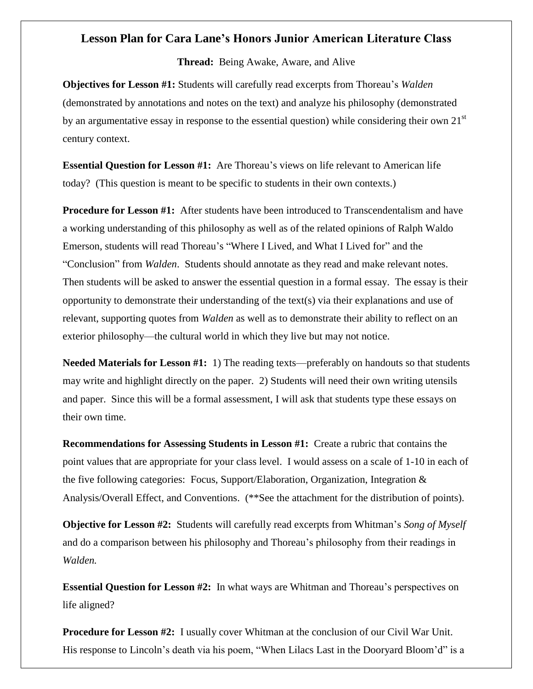## **Lesson Plan for Cara Lane's Honors Junior American Literature Class**

**Thread:** Being Awake, Aware, and Alive

**Objectives for Lesson #1:** Students will carefully read excerpts from Thoreau's *Walden* (demonstrated by annotations and notes on the text) and analyze his philosophy (demonstrated by an argumentative essay in response to the essential question) while considering their own  $21<sup>st</sup>$ century context.

**Essential Question for Lesson #1:** Are Thoreau's views on life relevant to American life today? (This question is meant to be specific to students in their own contexts.)

**Procedure for Lesson #1:** After students have been introduced to Transcendentalism and have a working understanding of this philosophy as well as of the related opinions of Ralph Waldo Emerson, students will read Thoreau's "Where I Lived, and What I Lived for" and the "Conclusion" from *Walden*. Students should annotate as they read and make relevant notes. Then students will be asked to answer the essential question in a formal essay. The essay is their opportunity to demonstrate their understanding of the text(s) via their explanations and use of relevant, supporting quotes from *Walden* as well as to demonstrate their ability to reflect on an exterior philosophy—the cultural world in which they live but may not notice.

**Needed Materials for Lesson #1:** 1) The reading texts—preferably on handouts so that students may write and highlight directly on the paper. 2) Students will need their own writing utensils and paper. Since this will be a formal assessment, I will ask that students type these essays on their own time.

**Recommendations for Assessing Students in Lesson #1:** Create a rubric that contains the point values that are appropriate for your class level. I would assess on a scale of 1-10 in each of the five following categories: Focus, Support/Elaboration, Organization, Integration  $\&$ Analysis/Overall Effect, and Conventions. (\*\*See the attachment for the distribution of points).

**Objective for Lesson #2:** Students will carefully read excerpts from Whitman's *Song of Myself* and do a comparison between his philosophy and Thoreau's philosophy from their readings in *Walden.*

**Essential Question for Lesson #2:** In what ways are Whitman and Thoreau's perspectives on life aligned?

**Procedure for Lesson #2:** I usually cover Whitman at the conclusion of our Civil War Unit. His response to Lincoln's death via his poem, "When Lilacs Last in the Dooryard Bloom'd" is a